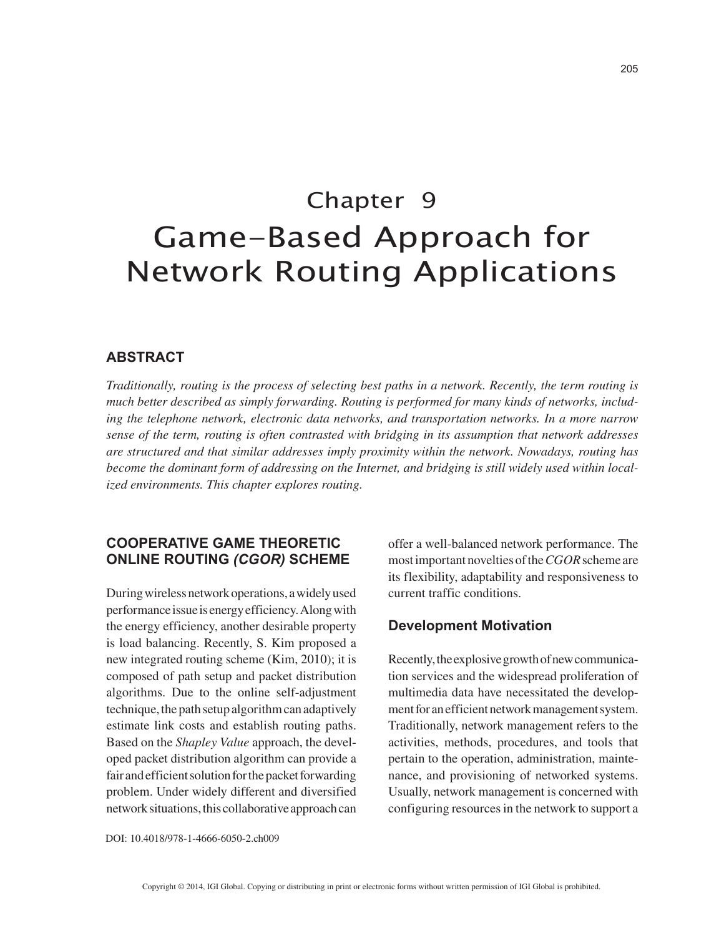# Chapter 9 Game-Based Approach for Network Routing Applications

# **ABSTRACT**

*Traditionally, routing is the process of selecting best paths in a network. Recently, the term routing is much better described as simply forwarding. Routing is performed for many kinds of networks, including the telephone network, electronic data networks, and transportation networks. In a more narrow sense of the term, routing is often contrasted with bridging in its assumption that network addresses are structured and that similar addresses imply proximity within the network. Nowadays, routing has become the dominant form of addressing on the Internet, and bridging is still widely used within localized environments. This chapter explores routing.*

# **COOPERATIVE GAME THEORETIC ONLINE ROUTING** *(CGOR)* **SCHEME**

During wireless network operations, a widely used performance issue is energy efficiency. Along with the energy efficiency, another desirable property is load balancing. Recently, S. Kim proposed a new integrated routing scheme (Kim, 2010); it is composed of path setup and packet distribution algorithms. Due to the online self-adjustment technique, the path setup algorithm can adaptively estimate link costs and establish routing paths. Based on the *Shapley Value* approach, the developed packet distribution algorithm can provide a fair and efficient solution for the packet forwarding problem. Under widely different and diversified network situations, this collaborative approach can

offer a well-balanced network performance. The most important novelties of the *CGOR* scheme are its flexibility, adaptability and responsiveness to current traffic conditions.

## **Development Motivation**

Recently, the explosive growth of new communication services and the widespread proliferation of multimedia data have necessitated the development for an efficient network management system. Traditionally, network management refers to the activities, methods, procedures, and tools that pertain to the operation, administration, maintenance, and provisioning of networked systems. Usually, network management is concerned with configuring resources in the network to support a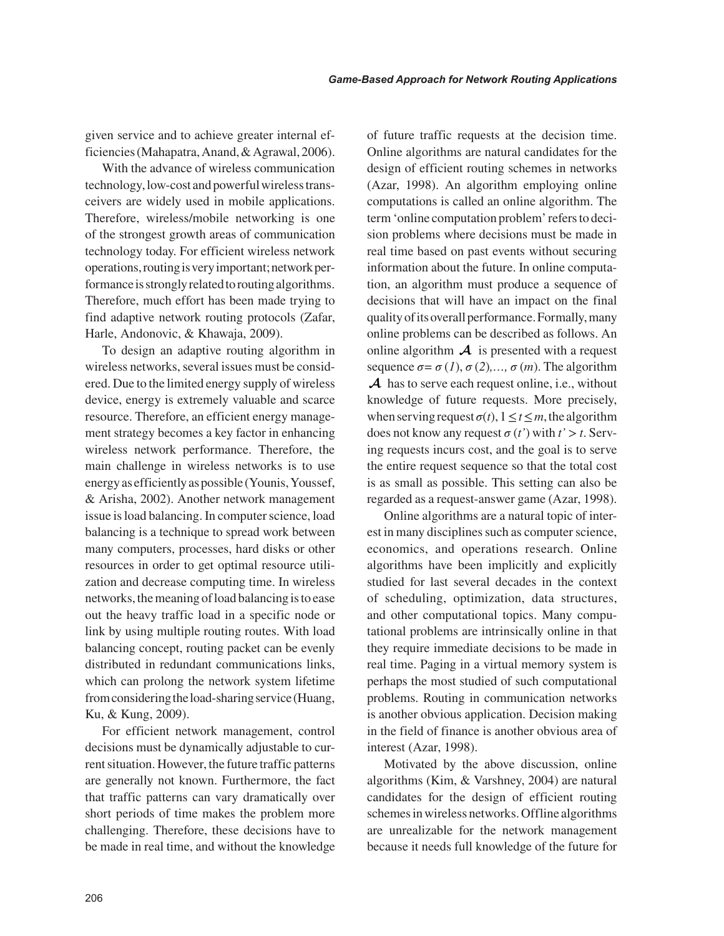given service and to achieve greater internal efficiencies (Mahapatra, Anand, & Agrawal, 2006).

With the advance of wireless communication technology, low-cost and powerful wireless transceivers are widely used in mobile applications. Therefore, wireless/mobile networking is one of the strongest growth areas of communication technology today. For efficient wireless network operations, routing is very important; network performance is strongly related to routing algorithms. Therefore, much effort has been made trying to find adaptive network routing protocols (Zafar, Harle, Andonovic, & Khawaja, 2009).

To design an adaptive routing algorithm in wireless networks, several issues must be considered. Due to the limited energy supply of wireless device, energy is extremely valuable and scarce resource. Therefore, an efficient energy management strategy becomes a key factor in enhancing wireless network performance. Therefore, the main challenge in wireless networks is to use energy as efficiently as possible (Younis, Youssef, & Arisha, 2002). Another network management issue is load balancing. In computer science, load balancing is a technique to spread work between many computers, processes, hard disks or other resources in order to get optimal resource utilization and decrease computing time. In wireless networks, the meaning of load balancing is to ease out the heavy traffic load in a specific node or link by using multiple routing routes. With load balancing concept, routing packet can be evenly distributed in redundant communications links, which can prolong the network system lifetime from considering the load-sharing service (Huang, Ku, & Kung, 2009).

For efficient network management, control decisions must be dynamically adjustable to current situation. However, the future traffic patterns are generally not known. Furthermore, the fact that traffic patterns can vary dramatically over short periods of time makes the problem more challenging. Therefore, these decisions have to be made in real time, and without the knowledge of future traffic requests at the decision time. Online algorithms are natural candidates for the design of efficient routing schemes in networks (Azar, 1998). An algorithm employing online computations is called an online algorithm. The term 'online computation problem' refers to decision problems where decisions must be made in real time based on past events without securing information about the future. In online computation, an algorithm must produce a sequence of decisions that will have an impact on the final quality of its overall performance. Formally, many online problems can be described as follows. An online algorithm  $\boldsymbol{\mathcal{A}}$  is presented with a request sequence  $\sigma = \sigma(1), \sigma(2), \ldots, \sigma(m)$ . The algorithm  $\mathcal A$  has to serve each request online, i.e., without knowledge of future requests. More precisely, when serving request  $\sigma(t)$ ,  $1 \le t \le m$ , the algorithm does not know any request  $\sigma(t')$  with  $t' > t$ . Serving requests incurs cost, and the goal is to serve the entire request sequence so that the total cost is as small as possible. This setting can also be regarded as a request-answer game (Azar, 1998).

Online algorithms are a natural topic of interest in many disciplines such as computer science, economics, and operations research. Online algorithms have been implicitly and explicitly studied for last several decades in the context of scheduling, optimization, data structures, and other computational topics. Many computational problems are intrinsically online in that they require immediate decisions to be made in real time. Paging in a virtual memory system is perhaps the most studied of such computational problems. Routing in communication networks is another obvious application. Decision making in the field of finance is another obvious area of interest (Azar, 1998).

Motivated by the above discussion, online algorithms (Kim, & Varshney, 2004) are natural candidates for the design of efficient routing schemes in wireless networks. Offline algorithms are unrealizable for the network management because it needs full knowledge of the future for